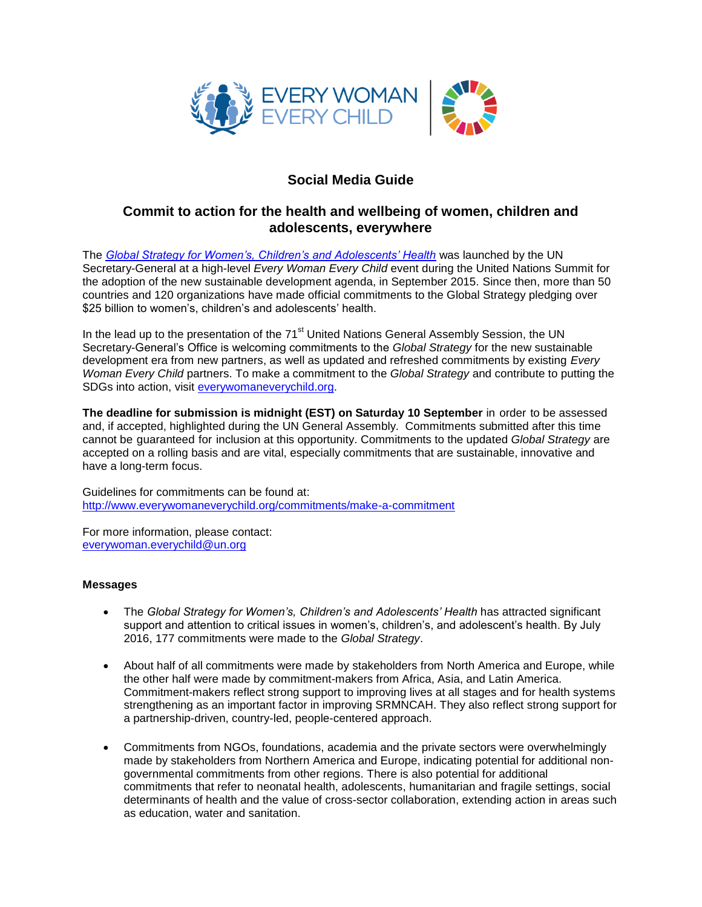

# **Social Media Guide**

## **Commit to action for the health and wellbeing of women, children and adolescents, everywhere**

The *[Global Strategy for Women's, Children's and Adolescents' Health](http://globalstrategy.everywomaneverychild.org/)* was launched by the UN Secretary-General at a high-level *Every Woman Every Child* event during the United Nations Summit for the adoption of the new sustainable development agenda, in September 2015. Since then, more than 50 countries and 120 organizations have made official commitments to the Global Strategy pledging over \$25 billion to women's, children's and adolescents' health.

In the lead up to the presentation of the 71<sup>st</sup> United Nations General Assembly Session, the UN Secretary-General's Office is welcoming commitments to the *Global Strategy* for the new sustainable development era from new partners, as well as updated and refreshed commitments by existing *Every Woman Every Child* partners. To make a commitment to the *Global Strategy* and contribute to putting the SDGs into action, visit [everywomaneverychild.org.](http://www.everywomaneverychild.org/)

**The deadline for submission is midnight (EST) on Saturday 10 September** in order to be assessed and, if accepted, highlighted during the UN General Assembly. Commitments submitted after this time cannot be guaranteed for inclusion at this opportunity. Commitments to the updated *Global Strategy* are accepted on a rolling basis and are vital, especially commitments that are sustainable, innovative and have a long-term focus.

Guidelines for commitments can be found at: <http://www.everywomaneverychild.org/commitments/make-a-commitment>

For more information, please contact: [everywoman.everychild@un.org](mailto:everywoman.everychild@un.org)

### **Messages**

- The *Global Strategy for Women's, Children's and Adolescents' Health* has attracted significant support and attention to critical issues in women's, children's, and adolescent's health. By July 2016, 177 commitments were made to the *Global Strategy*.
- About half of all commitments were made by stakeholders from North America and Europe, while the other half were made by commitment-makers from Africa, Asia, and Latin America. Commitment-makers reflect strong support to improving lives at all stages and for health systems strengthening as an important factor in improving SRMNCAH. They also reflect strong support for a partnership-driven, country-led, people-centered approach.
- Commitments from NGOs, foundations, academia and the private sectors were overwhelmingly made by stakeholders from Northern America and Europe, indicating potential for additional nongovernmental commitments from other regions. There is also potential for additional commitments that refer to neonatal health, adolescents, humanitarian and fragile settings, social determinants of health and the value of cross-sector collaboration, extending action in areas such as education, water and sanitation.